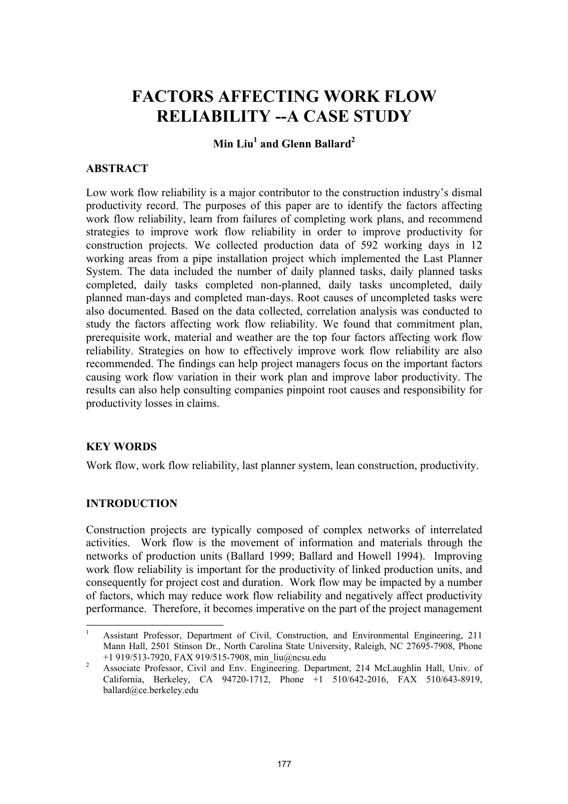# **FACTORS AFFECTING WORK FLOW RELIABILITY --A CASE STUDY**

## **Min Liu1 and Glenn Ballard<sup>2</sup>**

#### **ABSTRACT**

Low work flow reliability is a major contributor to the construction industry's dismal productivity record. The purposes of this paper are to identify the factors affecting work flow reliability, learn from failures of completing work plans, and recommend strategies to improve work flow reliability in order to improve productivity for construction projects. We collected production data of 592 working days in 12 working areas from a pipe installation project which implemented the Last Planner System. The data included the number of daily planned tasks, daily planned tasks completed, daily tasks completed non-planned, daily tasks uncompleted, daily planned man-days and completed man-days. Root causes of uncompleted tasks were also documented. Based on the data collected, correlation analysis was conducted to study the factors affecting work flow reliability. We found that commitment plan, prerequisite work, material and weather are the top four factors affecting work flow reliability. Strategies on how to effectively improve work flow reliability are also recommended. The findings can help project managers focus on the important factors causing work flow variation in their work plan and improve labor productivity. The results can also help consulting companies pinpoint root causes and responsibility for productivity losses in claims.

#### **KEY WORDS**

Work flow, work flow reliability, last planner system, lean construction, productivity.

## **INTRODUCTION**

l

Construction projects are typically composed of complex networks of interrelated activities. Work flow is the movement of information and materials through the networks of production units (Ballard 1999; Ballard and Howell 1994). Improving work flow reliability is important for the productivity of linked production units, and consequently for project cost and duration. Work flow may be impacted by a number of factors, which may reduce work flow reliability and negatively affect productivity performance. Therefore, it becomes imperative on the part of the project management

<sup>1</sup> Assistant Professor, Department of Civil, Construction, and Environmental Engineering, 211 Mann Hall, 2501 Stinson Dr., North Carolina State University, Raleigh, NC 27695-7908, Phone +1 919/513-7920, FAX 919/515-7908, min\_liu@ncsu.edu 2

Associate Professor, Civil and Env. Engineering. Department, 214 McLaughlin Hall, Univ. of California, Berkeley, CA 94720-1712, Phone +1 510/642-2016, FAX 510/643-8919, ballard@ce.berkeley.edu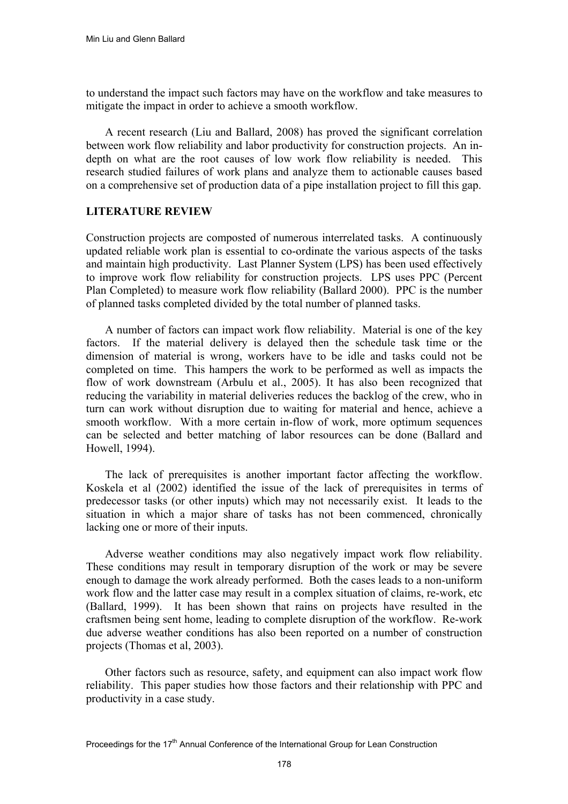to understand the impact such factors may have on the workflow and take measures to mitigate the impact in order to achieve a smooth workflow.

A recent research (Liu and Ballard, 2008) has proved the significant correlation between work flow reliability and labor productivity for construction projects. An indepth on what are the root causes of low work flow reliability is needed. This research studied failures of work plans and analyze them to actionable causes based on a comprehensive set of production data of a pipe installation project to fill this gap.

### **LITERATURE REVIEW**

Construction projects are composted of numerous interrelated tasks. A continuously updated reliable work plan is essential to co-ordinate the various aspects of the tasks and maintain high productivity. Last Planner System (LPS) has been used effectively to improve work flow reliability for construction projects. LPS uses PPC (Percent Plan Completed) to measure work flow reliability (Ballard 2000). PPC is the number of planned tasks completed divided by the total number of planned tasks.

A number of factors can impact work flow reliability. Material is one of the key factors. If the material delivery is delayed then the schedule task time or the dimension of material is wrong, workers have to be idle and tasks could not be completed on time. This hampers the work to be performed as well as impacts the flow of work downstream (Arbulu et al., 2005). It has also been recognized that reducing the variability in material deliveries reduces the backlog of the crew, who in turn can work without disruption due to waiting for material and hence, achieve a smooth workflow. With a more certain in-flow of work, more optimum sequences can be selected and better matching of labor resources can be done (Ballard and Howell, 1994).

The lack of prerequisites is another important factor affecting the workflow. Koskela et al (2002) identified the issue of the lack of prerequisites in terms of predecessor tasks (or other inputs) which may not necessarily exist. It leads to the situation in which a major share of tasks has not been commenced, chronically lacking one or more of their inputs.

Adverse weather conditions may also negatively impact work flow reliability. These conditions may result in temporary disruption of the work or may be severe enough to damage the work already performed. Both the cases leads to a non-uniform work flow and the latter case may result in a complex situation of claims, re-work, etc (Ballard, 1999). It has been shown that rains on projects have resulted in the craftsmen being sent home, leading to complete disruption of the workflow. Re-work due adverse weather conditions has also been reported on a number of construction projects (Thomas et al, 2003).

Other factors such as resource, safety, and equipment can also impact work flow reliability. This paper studies how those factors and their relationship with PPC and productivity in a case study.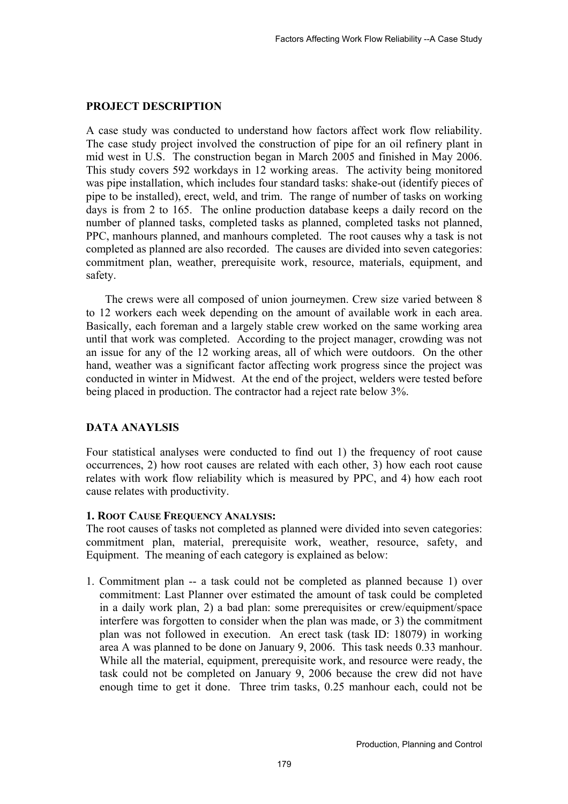## **PROJECT DESCRIPTION**

A case study was conducted to understand how factors affect work flow reliability. The case study project involved the construction of pipe for an oil refinery plant in mid west in U.S. The construction began in March 2005 and finished in May 2006. This study covers 592 workdays in 12 working areas. The activity being monitored was pipe installation, which includes four standard tasks: shake-out (identify pieces of pipe to be installed), erect, weld, and trim. The range of number of tasks on working days is from 2 to 165. The online production database keeps a daily record on the number of planned tasks, completed tasks as planned, completed tasks not planned, PPC, manhours planned, and manhours completed. The root causes why a task is not completed as planned are also recorded. The causes are divided into seven categories: commitment plan, weather, prerequisite work, resource, materials, equipment, and safety.

The crews were all composed of union journeymen. Crew size varied between 8 to 12 workers each week depending on the amount of available work in each area. Basically, each foreman and a largely stable crew worked on the same working area until that work was completed. According to the project manager, crowding was not an issue for any of the 12 working areas, all of which were outdoors. On the other hand, weather was a significant factor affecting work progress since the project was conducted in winter in Midwest. At the end of the project, welders were tested before being placed in production. The contractor had a reject rate below 3%.

## **DATA ANAYLSIS**

Four statistical analyses were conducted to find out 1) the frequency of root cause occurrences, 2) how root causes are related with each other, 3) how each root cause relates with work flow reliability which is measured by PPC, and 4) how each root cause relates with productivity.

## **1. ROOT CAUSE FREQUENCY ANALYSIS:**

The root causes of tasks not completed as planned were divided into seven categories: commitment plan, material, prerequisite work, weather, resource, safety, and Equipment. The meaning of each category is explained as below:

1. Commitment plan -- a task could not be completed as planned because 1) over commitment: Last Planner over estimated the amount of task could be completed in a daily work plan, 2) a bad plan: some prerequisites or crew/equipment/space interfere was forgotten to consider when the plan was made, or 3) the commitment plan was not followed in execution. An erect task (task ID: 18079) in working area A was planned to be done on January 9, 2006. This task needs 0.33 manhour. While all the material, equipment, prerequisite work, and resource were ready, the task could not be completed on January 9, 2006 because the crew did not have enough time to get it done. Three trim tasks, 0.25 manhour each, could not be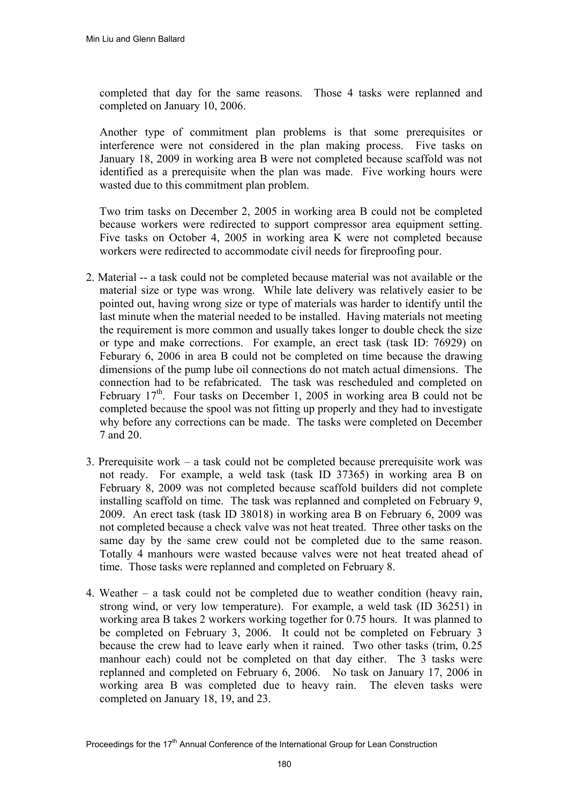completed that day for the same reasons. Those 4 tasks were replanned and completed on January 10, 2006.

 Another type of commitment plan problems is that some prerequisites or interference were not considered in the plan making process. Five tasks on January 18, 2009 in working area B were not completed because scaffold was not identified as a prerequisite when the plan was made. Five working hours were wasted due to this commitment plan problem.

Two trim tasks on December 2, 2005 in working area B could not be completed because workers were redirected to support compressor area equipment setting. Five tasks on October 4, 2005 in working area K were not completed because workers were redirected to accommodate civil needs for fireproofing pour.

- 2. Material -- a task could not be completed because material was not available or the material size or type was wrong. While late delivery was relatively easier to be pointed out, having wrong size or type of materials was harder to identify until the last minute when the material needed to be installed. Having materials not meeting the requirement is more common and usually takes longer to double check the size or type and make corrections. For example, an erect task (task ID: 76929) on Feburary 6, 2006 in area B could not be completed on time because the drawing dimensions of the pump lube oil connections do not match actual dimensions. The connection had to be refabricated. The task was rescheduled and completed on February  $17<sup>th</sup>$ . Four tasks on December 1, 2005 in working area B could not be completed because the spool was not fitting up properly and they had to investigate why before any corrections can be made. The tasks were completed on December 7 and 20.
- 3. Prerequisite work a task could not be completed because prerequisite work was not ready. For example, a weld task (task ID 37365) in working area B on February 8, 2009 was not completed because scaffold builders did not complete installing scaffold on time. The task was replanned and completed on February 9, 2009. An erect task (task ID 38018) in working area B on February 6, 2009 was not completed because a check valve was not heat treated. Three other tasks on the same day by the same crew could not be completed due to the same reason. Totally 4 manhours were wasted because valves were not heat treated ahead of time. Those tasks were replanned and completed on February 8.
- 4. Weather a task could not be completed due to weather condition (heavy rain, strong wind, or very low temperature). For example, a weld task (ID 36251) in working area B takes 2 workers working together for 0.75 hours. It was planned to be completed on February 3, 2006. It could not be completed on February 3 because the crew had to leave early when it rained. Two other tasks (trim, 0.25 manhour each) could not be completed on that day either. The 3 tasks were replanned and completed on February 6, 2006. No task on January 17, 2006 in working area B was completed due to heavy rain. The eleven tasks were completed on January 18, 19, and 23.

Proceedings for the 17<sup>th</sup> Annual Conference of the International Group for Lean Construction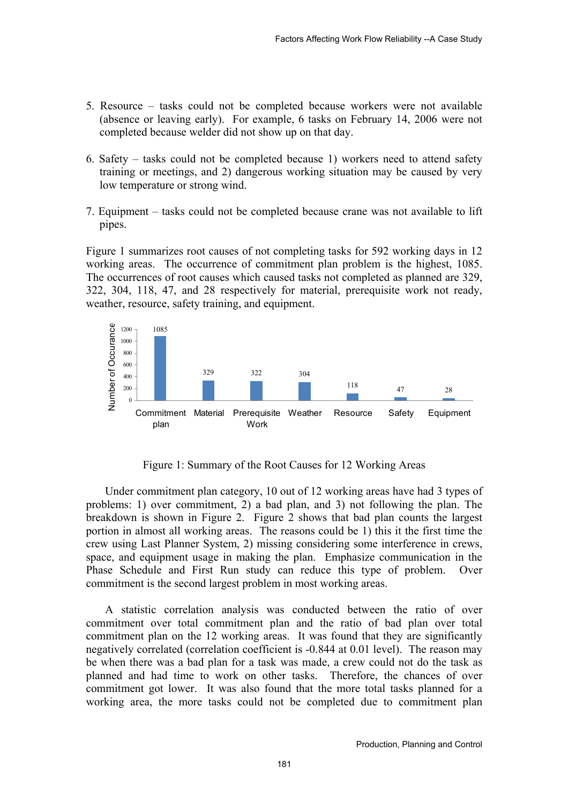- 5. Resource tasks could not be completed because workers were not available (absence or leaving early). For example, 6 tasks on February 14, 2006 were not completed because welder did not show up on that day.
- 6. Safety tasks could not be completed because 1) workers need to attend safety training or meetings, and 2) dangerous working situation may be caused by very low temperature or strong wind.
- 7. Equipment tasks could not be completed because crane was not available to lift pipes.

Figure 1 summarizes root causes of not completing tasks for 592 working days in 12 working areas. The occurrence of commitment plan problem is the highest, 1085. The occurrences of root causes which caused tasks not completed as planned are 329, 322, 304, 118, 47, and 28 respectively for material, prerequisite work not ready, weather, resource, safety training, and equipment.



Figure 1: Summary of the Root Causes for 12 Working Areas

Under commitment plan category, 10 out of 12 working areas have had 3 types of problems: 1) over commitment, 2) a bad plan, and 3) not following the plan. The breakdown is shown in Figure 2. Figure 2 shows that bad plan counts the largest portion in almost all working areas. The reasons could be 1) this it the first time the crew using Last Planner System, 2) missing considering some interference in crews, space, and equipment usage in making the plan. Emphasize communication in the Phase Schedule and First Run study can reduce this type of problem. Over commitment is the second largest problem in most working areas.

A statistic correlation analysis was conducted between the ratio of over commitment over total commitment plan and the ratio of bad plan over total commitment plan on the 12 working areas. It was found that they are significantly negatively correlated (correlation coefficient is -0.844 at 0.01 level). The reason may be when there was a bad plan for a task was made, a crew could not do the task as planned and had time to work on other tasks. Therefore, the chances of over commitment got lower. It was also found that the more total tasks planned for a working area, the more tasks could not be completed due to commitment plan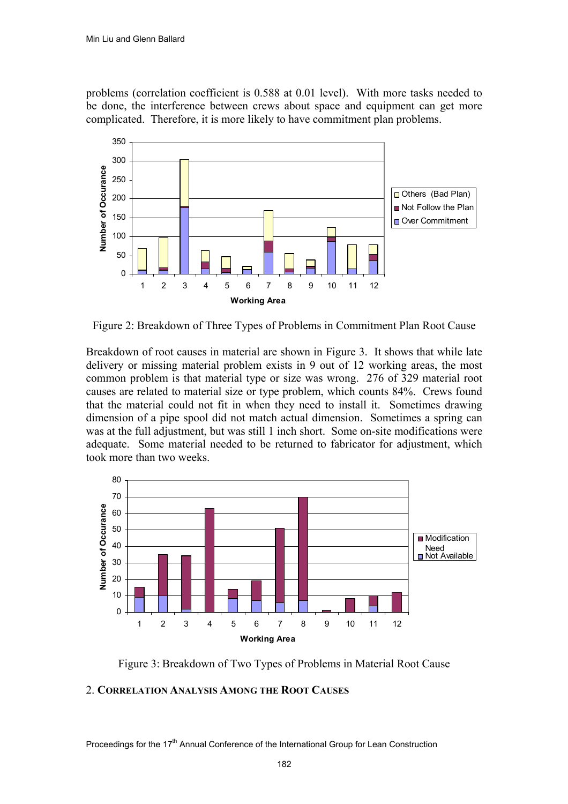problems (correlation coefficient is 0.588 at 0.01 level). With more tasks needed to be done, the interference between crews about space and equipment can get more complicated. Therefore, it is more likely to have commitment plan problems.



Figure 2: Breakdown of Three Types of Problems in Commitment Plan Root Cause

Breakdown of root causes in material are shown in Figure 3. It shows that while late delivery or missing material problem exists in 9 out of 12 working areas, the most common problem is that material type or size was wrong. 276 of 329 material root causes are related to material size or type problem, which counts 84%. Crews found that the material could not fit in when they need to install it. Sometimes drawing dimension of a pipe spool did not match actual dimension. Sometimes a spring can was at the full adjustment, but was still 1 inch short. Some on-site modifications were adequate. Some material needed to be returned to fabricator for adjustment, which took more than two weeks.



Figure 3: Breakdown of Two Types of Problems in Material Root Cause

#### 2. **CORRELATION ANALYSIS AMONG THE ROOT CAUSES**

Proceedings for the 17<sup>th</sup> Annual Conference of the International Group for Lean Construction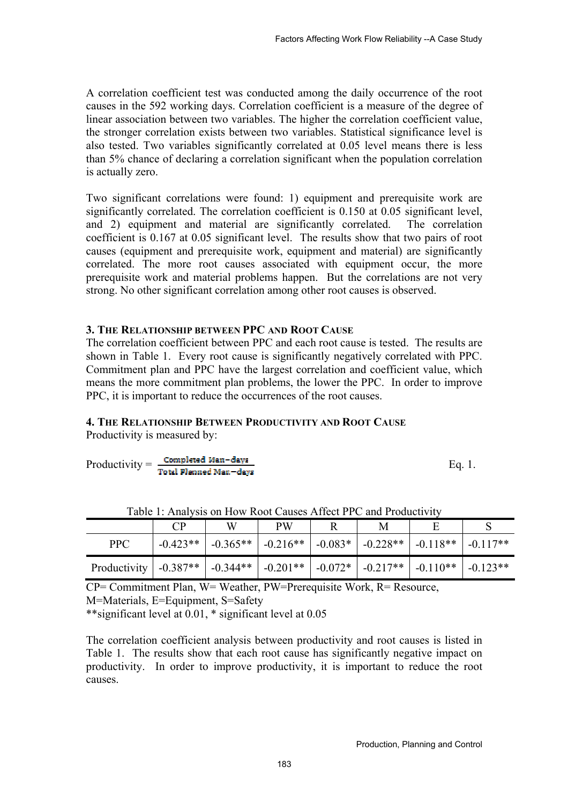A correlation coefficient test was conducted among the daily occurrence of the root causes in the 592 working days. Correlation coefficient is a measure of the degree of linear association between two variables. The higher the correlation coefficient value, the stronger correlation exists between two variables. Statistical significance level is also tested. Two variables significantly correlated at 0.05 level means there is less than 5% chance of declaring a correlation significant when the population correlation is actually zero.

Two significant correlations were found: 1) equipment and prerequisite work are significantly correlated. The correlation coefficient is 0.150 at 0.05 significant level, and 2) equipment and material are significantly correlated. The correlation coefficient is 0.167 at 0.05 significant level. The results show that two pairs of root causes (equipment and prerequisite work, equipment and material) are significantly correlated. The more root causes associated with equipment occur, the more prerequisite work and material problems happen. But the correlations are not very strong. No other significant correlation among other root causes is observed.

### **3. THE RELATIONSHIP BETWEEN PPC AND ROOT CAUSE**

The correlation coefficient between PPC and each root cause is tested. The results are shown in Table 1. Every root cause is significantly negatively correlated with PPC. Commitment plan and PPC have the largest correlation and coefficient value, which means the more commitment plan problems, the lower the PPC. In order to improve PPC, it is important to reduce the occurrences of the root causes.

# **4. THE RELATIONSHIP BETWEEN PRODUCTIVITY AND ROOT CAUSE**

Productivity is measured by:

$$
Productivity = \frac{Completed Man-days}{Total Planned Man-days}
$$
 Eq. 1.

|                               |            | W | <b>PW</b> | M |                                                                            |  |
|-------------------------------|------------|---|-----------|---|----------------------------------------------------------------------------|--|
| <b>PPC</b>                    | $-0.423**$ |   |           |   | $-0.365**$   $-0.216**$   $-0.083*$   $-0.228**$   $-0.118**$   $-0.117**$ |  |
| Productivity $\vert$ -0.387** |            |   |           |   | $-0.344**$   $-0.201**$   $-0.072*$   $-0.217**$   $-0.110**$   $-0.123**$ |  |

Table 1: Analysis on How Root Causes Affect PPC and Productivity

CP= Commitment Plan, W= Weather, PW=Prerequisite Work, R= Resource, M=Materials, E=Equipment, S=Safety

\*\*significant level at 0.01, \* significant level at 0.05

The correlation coefficient analysis between productivity and root causes is listed in Table 1. The results show that each root cause has significantly negative impact on productivity. In order to improve productivity, it is important to reduce the root causes.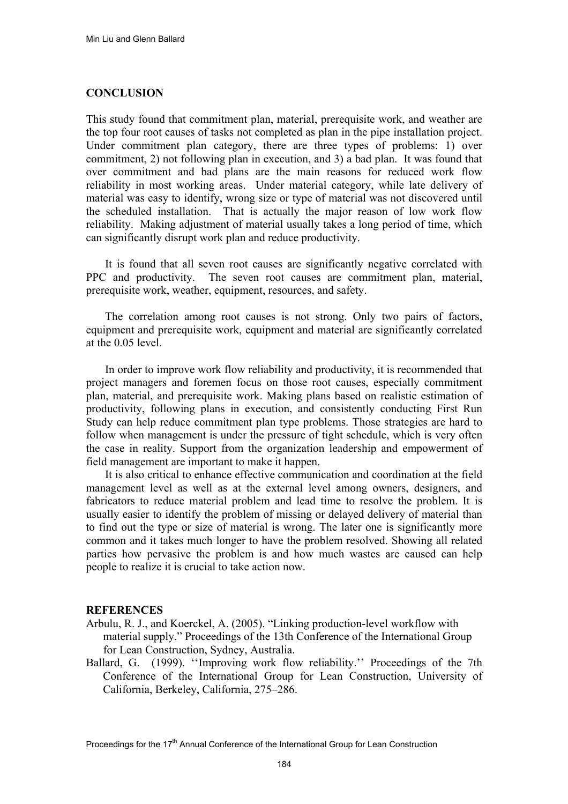#### **CONCLUSION**

This study found that commitment plan, material, prerequisite work, and weather are the top four root causes of tasks not completed as plan in the pipe installation project. Under commitment plan category, there are three types of problems: 1) over commitment, 2) not following plan in execution, and 3) a bad plan. It was found that over commitment and bad plans are the main reasons for reduced work flow reliability in most working areas. Under material category, while late delivery of material was easy to identify, wrong size or type of material was not discovered until the scheduled installation. That is actually the major reason of low work flow reliability. Making adjustment of material usually takes a long period of time, which can significantly disrupt work plan and reduce productivity.

It is found that all seven root causes are significantly negative correlated with PPC and productivity. The seven root causes are commitment plan, material, prerequisite work, weather, equipment, resources, and safety.

The correlation among root causes is not strong. Only two pairs of factors, equipment and prerequisite work, equipment and material are significantly correlated at the 0.05 level.

In order to improve work flow reliability and productivity, it is recommended that project managers and foremen focus on those root causes, especially commitment plan, material, and prerequisite work. Making plans based on realistic estimation of productivity, following plans in execution, and consistently conducting First Run Study can help reduce commitment plan type problems. Those strategies are hard to follow when management is under the pressure of tight schedule, which is very often the case in reality. Support from the organization leadership and empowerment of field management are important to make it happen.

It is also critical to enhance effective communication and coordination at the field management level as well as at the external level among owners, designers, and fabricators to reduce material problem and lead time to resolve the problem. It is usually easier to identify the problem of missing or delayed delivery of material than to find out the type or size of material is wrong. The later one is significantly more common and it takes much longer to have the problem resolved. Showing all related parties how pervasive the problem is and how much wastes are caused can help people to realize it is crucial to take action now.

#### **REFERENCES**

- Arbulu, R. J., and Koerckel, A. (2005). "Linking production-level workflow with material supply." Proceedings of the 13th Conference of the International Group for Lean Construction, Sydney, Australia.
- Ballard, G. (1999). ''Improving work flow reliability.'' Proceedings of the 7th Conference of the International Group for Lean Construction, University of California, Berkeley, California, 275–286.

Proceedings for the 17<sup>th</sup> Annual Conference of the International Group for Lean Construction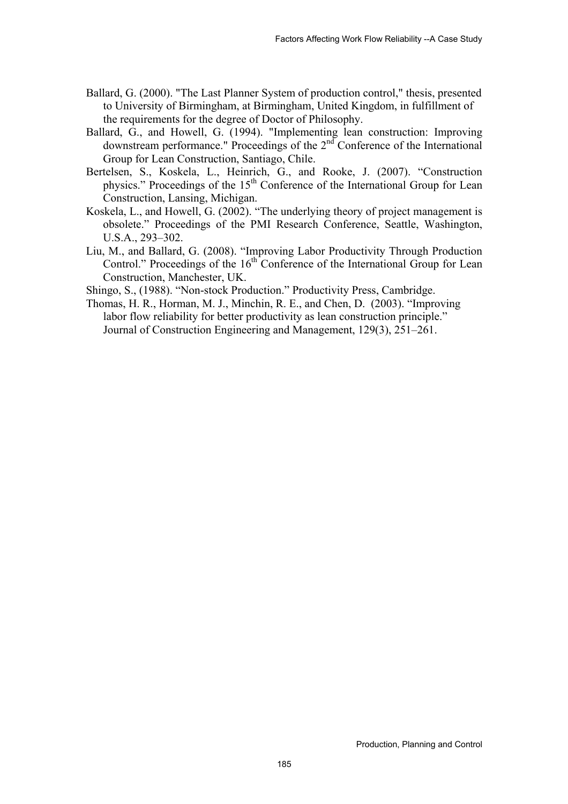- Ballard, G. (2000). "The Last Planner System of production control," thesis, presented to University of Birmingham, at Birmingham, United Kingdom, in fulfillment of the requirements for the degree of Doctor of Philosophy.
- Ballard, G., and Howell, G. (1994). "Implementing lean construction: Improving downstream performance." Proceedings of the 2nd Conference of the International Group for Lean Construction, Santiago, Chile.
- Bertelsen, S., Koskela, L., Heinrich, G., and Rooke, J. (2007). "Construction physics." Proceedings of the 15<sup>th</sup> Conference of the International Group for Lean Construction, Lansing, Michigan.
- Koskela, L., and Howell, G. (2002). "The underlying theory of project management is obsolete." Proceedings of the PMI Research Conference, Seattle, Washington, U.S.A., 293–302.
- Liu, M., and Ballard, G. (2008). "Improving Labor Productivity Through Production Control." Proceedings of the  $16<sup>th</sup>$  Conference of the International Group for Lean Construction, Manchester, UK.

Shingo, S., (1988). "Non-stock Production." Productivity Press, Cambridge.

Thomas, H. R., Horman, M. J., Minchin, R. E., and Chen, D. (2003). "Improving labor flow reliability for better productivity as lean construction principle." Journal of Construction Engineering and Management, 129(3), 251–261.